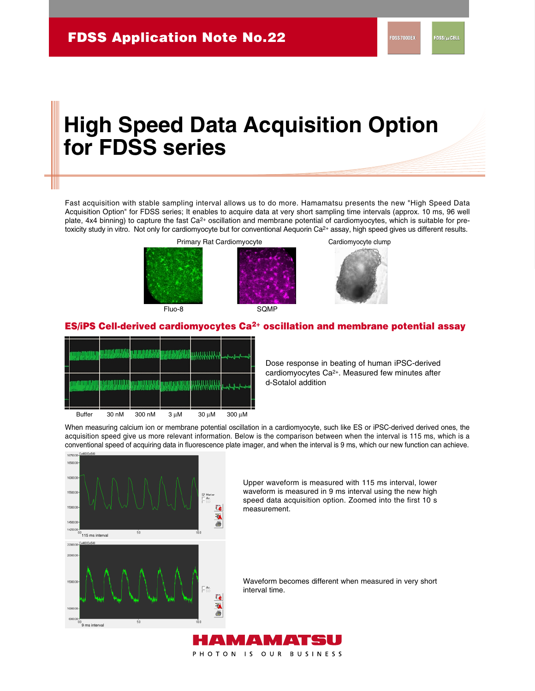# **High Speed Data Acquisition Option for FDSS series**

Fast acquisition with stable sampling interval allows us to do more. Hamamatsu presents the new "High Speed Data Acquisition Option" for FDSS series; It enables to acquire data at very short sampling time intervals (approx. 10 ms, 96 well plate,  $4x4$  binning) to capture the fast  $Ca<sup>2+</sup>$  oscillation and membrane potential of cardiomyocytes, which is suitable for pretoxicity study in vitro. Not only for cardiomyocyte but for conventional Aequorin Ca<sup>2+</sup> assay, high speed gives us different results.







# **ES/iPS Cell-derived cardiomyocytes Ca2+ oscillation and membrane potential assay**

| <b>Buffer</b> | 30 nM | 300 nM | $3 \mu M$ | 30 µM | 300 μM |  |
|---------------|-------|--------|-----------|-------|--------|--|

Dose response in beating of human iPSC-derived cardiomyocytes Ca2+. Measured few minutes after d-Sotalol addition

When measuring calcium ion or membrane potential oscillation in a cardiomyocyte, such like ES or iPSC-derived derived ones, the acquisition speed give us more relevant information. Below is the comparison between when the interval is 115 ms, which is a conventional speed of acquiring data in fluorescence plate imager, and when the interval is 9 ms, which our new function can achieve.



Upper waveform is measured with 115 ms interval, lower waveform is measured in 9 ms interval using the new high speed data acquisition option. Zoomed into the first 10 s measurement.

Waveform becomes different when measured in very short interval time.